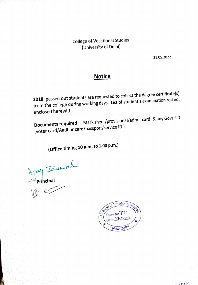College of Vocational Studies (University of Delhi)

31.05.2022

 $-$  r  $\mathcal{V}$ 

## **Notice**

2018 passed out students are requested to collect the degree certificate(s) from the college during working days. List of student's examination roll no. enclosed herewith.

Documents required :- Mark sheet/provisional/admit card. & any Govt. I D (voter card/Aadhar card/passport/service ID)

(Office timing 10 a.m. to 1.00 p.m.)

Hay Jaynal

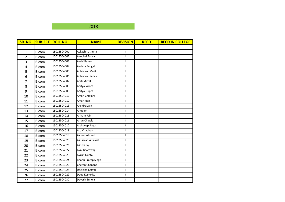|       |             | <b>NAME</b>               | <b>DIVISION</b> | <b>RECD</b> | <b>RECD IN COLLEGE</b> |
|-------|-------------|---------------------------|-----------------|-------------|------------------------|
|       |             |                           |                 |             |                        |
| B.com | 15013504001 | Aakash Kathuria           | $\mathbf{I}$    |             |                        |
| B.com | 15013504002 | Aanchal Bansal            | $\mathsf{I}$    |             |                        |
| B.com | 15013504003 | Aashi Bansal              | $\mathsf{I}$    |             |                        |
| B.com | 15013504004 | Aashna Sehgal             | $\mathbf{I}$    |             |                        |
| B.com | 15013504005 | Abhishek Malik            | $\mathbf{I}$    |             |                        |
| B.com | 15013504006 | Abhishek Yadav            | $\mathbf{I}$    |             |                        |
| B.com | 15013504007 | Aditi Mittal              | $\mathsf{I}$    |             |                        |
| B.com | 15013504008 | Aditya Arora              | $\mathbf{I}$    |             |                        |
| B.com | 15013504009 | Aditya Gupta              | $\mathsf{I}$    |             |                        |
| B.com | 15013504011 | Aman Chitkara             | $\mathbf{I}$    |             |                        |
| B.com | 15013504012 | Aman Negi                 | $\mathbf{I}$    |             |                        |
| B.com | 15013504013 | Anshika Jain              | $\mathbf{I}$    |             |                        |
| B.com | 15013504014 | Anupam                    | $\mathbf{I}$    |             |                        |
| B.com | 15013504015 | Arihant Jain              | $\mathbf{I}$    |             |                        |
| B.com | 15013504016 | Arjun Chawla              | $\mathbf{I}$    |             |                        |
| B.com | 15013504017 | Arshdeep Singh            | $\mathbf{I}$    |             |                        |
| B.com | 15013504018 | Arti Chauhan              | $\mathbf{I}$    |             |                        |
| B.com | 15013504019 | Asheer Ahmed              | $\mathbf{II}$   |             |                        |
| B.com | 15013504020 | Ashirwad Ahlawat          | $\mathsf{I}$    |             |                        |
| B.com | 15013504021 | Ashish Raj                | $\mathbf{I}$    |             |                        |
| B.com | 15013504022 | Avni Bhardwaj             | $\mathbf{I}$    |             |                        |
| B.com | 15013504023 | Ayush Gupta               | $\mathbf{I}$    |             |                        |
| B.com | 15013504024 | <b>Bhanu Pratap Singh</b> | $\mathbf{I}$    |             |                        |
| B.com | 15013504026 | Chetan Chanana            | $\mathbf{I}$    |             |                        |
| B.com | 15013504028 | Deeksha Katyal            | $\mathbf{I}$    |             |                        |
| B.com | 15013504029 | Deep Kasturiya            | Ш               |             |                        |
| B.com | 15013504030 | Devesh Suneja             | $\mathbf{I}$    |             |                        |
|       |             | <b>SUBJECT ROLL NO.</b>   |                 |             |                        |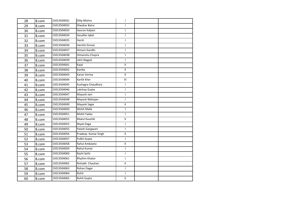| 28 | <b>B.com</b> | 15013504031 | Dilip Mishra        | T                          |  |
|----|--------------|-------------|---------------------|----------------------------|--|
| 29 | B.com        | 15013504032 | Diwakar Batra       | $\mathbf{I}$               |  |
| 30 | B.com        | 15013504033 | Gaurav Kalpasi      | $\mathsf{I}$               |  |
| 31 | B.com        | 15013504034 | Gazalfar Iqbal      | $\mathbf{I}$               |  |
| 32 | B.com        | 15013504035 | Harsh               | $\mathbf{I}$               |  |
| 33 | B.com        | 15013504036 | Harshit Grover      | $\mathbf{I}$               |  |
| 34 | B.com        | 15013504037 | Himani Gandhi       | $\mathbf{I}$               |  |
| 35 | B.com        | 15013504038 | Himanshu Chopra     | $\mathbf{I}$               |  |
| 36 | B.com        | 15013504039 | Jatin Nagpal        | $\mathsf{I}$               |  |
| 37 | B.com        | 15013504041 | Kajal               | $\ensuremath{\mathsf{II}}$ |  |
| 38 | B.com        | 15013504042 | Kanika              | $\mathbf{H}$               |  |
| 39 | B.com        | 15013504043 | Karan Verma         | $\mathbf{II}$              |  |
| 40 | B.com        | 15013504044 | Kartik Kher         | Ш                          |  |
| 41 | B.com        | 15013504045 | Kushagra Chaudhary  | $\mathbf{I}$               |  |
| 42 | B.com        | 15013504046 | Lakshay Gupta       | $\mathbf{I}$               |  |
| 43 | B.com        | 15013504047 | Mayank Jain         | $\mathbf{I}$               |  |
| 44 | B.com        | 15013504048 | Mayank Mahajan      | $\mathsf{I}$               |  |
| 45 | B.com        | 15013504049 | Mayank Sagar        | $\mathbf H$                |  |
| 46 | B.com        | 15013504050 | <b>Mohit Malik</b>  | $\mathbf{I}$               |  |
| 47 | B.com        | 15013504051 | Mohit Yadav         | $\mathbf{I}$               |  |
| 48 | B.com        | 15013504052 | Mukul Kaushik       | $\mathbf{H}$               |  |
| 49 | B.com        | 15013504053 | Niyati Daga         | $\mathbf{I}$               |  |
| 50 | B.com        | 15013504055 | Palash Gangwani     | $\mathbf{I}$               |  |
| 51 | B.com        | 15013504056 | Pradeep Kumar Singh | $\ensuremath{\mathsf{II}}$ |  |
| 52 | B.com        | 15013504057 | Pulkit Gupta        | $\mathsf{I}$               |  |
| 53 | B.com        | 15013504058 | Rahul Ambawta       | $\mathbf H$                |  |
| 54 | B.com        | 15013504059 | Rahul Kumar         | T                          |  |
| 55 | B.com        | 15013504060 | Rashi Sethi         | $\mathsf{I}$               |  |
| 56 | B.com        | 15013504061 | Rhythm Khator       | $\mathsf{I}$               |  |
| 57 | B.com        | 15013504062 | Rishabh Chauhan     | $\ensuremath{\mathsf{II}}$ |  |
| 58 | B.com        | 15013504063 | Rohan Dagar         | $\mathbf{I}$               |  |
| 59 | B.com        | 15013504064 | Rohit               | $\mathbf{I}$               |  |
| 60 | B.com        | 15013504065 | Rohit Gupta         | $\ensuremath{\mathsf{II}}$ |  |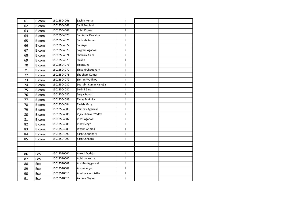| 61 | <b>B.com</b> | 15013504066 | Sachin Kumar          | I                          |  |
|----|--------------|-------------|-----------------------|----------------------------|--|
| 62 | B.com        | 15013504068 | Sahil Amulani         | $\mathbf{I}$               |  |
| 63 | B.com        | 15013504069 | Rohit Kumar           | $\ensuremath{\mathsf{II}}$ |  |
| 64 | B.com        | 15013504070 | Samiksha Kawaliya     | $\mathbf{I}$               |  |
| 65 | B.com        | 15013504071 | Santosh Kumar         | $\mathbf{I}$               |  |
| 66 | B.com        | 15013504072 | Saumya                | $\mathbf{I}$               |  |
| 67 | B.com        | 15013504073 | Sayyam Agarwal        | $\mathbf{I}$               |  |
| 68 | B.com        | 15013504074 | Shahruk Alam          | $\mathbf{I}$               |  |
| 69 | B.com        | 15013504075 | Shikha                | $\mathbf{I}$               |  |
| 70 | B.com        | 15013504076 | Shipra Jha            | L                          |  |
| 71 | <b>B.com</b> | 15013504077 | Shivani Choudhary     | $\mathbf{I}$               |  |
| 72 | B.com        | 15013504078 | Shubham Kumar         | L                          |  |
| 73 | <b>B.com</b> | 15013504079 | Simran Wadhwa         | L                          |  |
| 74 | B.com        | 15013504080 | Sourabh Kumar Kanojia | $\mathbf H$                |  |
| 75 | <b>B.com</b> | 15013504081 | Surbhi Garg           | $\mathbf{I}$               |  |
| 76 | B.com        | 15013504082 | Surya Prakash         | $\mathbf H$                |  |
| 77 | B.com        | 15013504083 | Tanya Makhija         | $\mathsf{L}$               |  |
| 78 | B.com        | 15013504084 | Tavishi Garg          | L                          |  |
| 79 | B.com        | 15013504085 | Vaibhav Agarwal       | $\mathbf{I}$               |  |
| 80 | B.com        | 15013504086 | Vijay Shanker Yadav   | $\mathsf{I}$               |  |
| 81 | B.com        | 15013504087 | <b>Vikas Agarwal</b>  | $\mathbf{I}$               |  |
| 82 | B.com        | 15013504088 | Vinay Singh           | $\mathbf{I}$               |  |
| 83 | B.com        | 15013504089 | Wasim Ahmed           | $\mathbf{I}$               |  |
| 84 | B.com        | 15013504090 | Yash Choudhary        | $\mathbf{I}$               |  |
| 85 | B.com        | 15013504091 | Yash Chhabra          | $\mathbf{I}$               |  |
|    |              |             |                       |                            |  |
|    |              |             |                       |                            |  |
| 86 | Eco          | 15013510001 | Aarohi Dudeja         | $\mathsf{I}$               |  |
| 87 | Eco          | 15013510002 | Abhinav Kumar         | $\mathbf{I}$               |  |
| 88 | Eco          | 15013510008 | Anshika Aggarwal      | $\mathbf{I}$               |  |
| 89 | Eco          | 15013510009 | Anshul Arya           | $\ensuremath{\mathsf{II}}$ |  |
| 90 | Eco          | 15013510010 | Anubhav vashistha     | $\mathbf{II}$              |  |
| 91 | Eco          | 15013510011 | Ashima Nayyar         | $\mathbf{I}$               |  |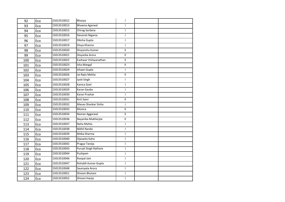| 92  | Eco | 15013510012 | Bhavya                | $\mathsf{I}$               |  |
|-----|-----|-------------|-----------------------|----------------------------|--|
| 93  | Eco | 15013510013 | Bhawna Agarwal        | $\mathsf{I}$               |  |
| 94  | Eco | 15013510015 | Chirag Sardana        | L                          |  |
| 95  | Eco | 15013510016 | Devansh Nigania       | $\mathbf{I}$               |  |
| 96  | Eco | 15013510017 | Diksha Gupta          | $\mathbf{I}$               |  |
| 97  | Eco | 15013510019 | Divya Khanna          | $\mathbf{I}$               |  |
| 98  | Eco | 15013510020 | Divyanshu Kumar       | $\ensuremath{\mathsf{II}}$ |  |
| 99  | Eco | 15013510021 | Divyanka Arora        | $\ensuremath{\mathsf{II}}$ |  |
| 100 | Eco | 15013510022 | Eashwar Vishwanathan  | Ш.                         |  |
| 101 | Eco | 15013510023 | Isha Mangal           | $\ensuremath{\mathsf{II}}$ |  |
| 102 | Eco | 15013510024 | Ishaan Gupta          | $\mathsf{I}$               |  |
| 103 | Eco | 15013510026 | Jai Rajiv Mehta       | Ш.                         |  |
| 104 | Eco | 15013510027 | Jyoti Singh           | L                          |  |
| 105 | Eco | 15013510028 | Kanica Goel           | $\mathbf{I}$               |  |
| 106 | Eco | 15013510029 | Karan Gauba           | $\mathbf{I}$               |  |
| 107 | Eco | 15013510030 | Karan Prashar         | $\mathbf{I}$               |  |
| 108 | Eco | 15013510031 | Kirti Saini           | $\mathbf{II}$              |  |
| 109 | Eco | 15013510032 | Manav Shankar Sinha   | $\mathbf{I}$               |  |
| 110 | Eco | 15013510033 | Monica                | $\mathbf{II}$              |  |
| 111 | Eco | 15013510034 | Naman Aggarwal        | $\mathbf{II}$              |  |
| 112 | Eco | 15013510036 | Nayanika Mukherjee    | Ш.                         |  |
| 113 | Eco | 15013510037 | Neha Mehta            | $\mathbf{I}$               |  |
| 114 | Eco | 15013510038 | Nikhil Nanda          | $\mathbf{I}$               |  |
| 115 | Eco | 15013510039 | Nitika Sharma         | T                          |  |
| 116 | Eco | 15013510040 | Ojaswita Kalra        | $\mathbf{I}$               |  |
| 117 | Eco | 15013510042 | Pragya Taneja         | $\mathsf{I}$               |  |
| 118 | Eco | 15013510043 | Purujit Singh Rathore | $\mathsf{I}$               |  |
| 119 | Eco | 15013510044 | Pushpam               | $\mathbf{I}$               |  |
| 120 | Eco | 15013510046 | Roopal Jain           | $\mathbf{I}$               |  |
| 121 | Eco | 15013510047 | Rishabh Kumar Gupta   | $\mathsf{I}$               |  |
| 122 | Eco | 15013510048 | Saumyata Arora        | $\mathbf{I}$               |  |
| 123 | Eco | 15013510051 | Shivam Bhutani        | T                          |  |
| 124 | Eco | 15013510052 | Shivani Hasija        | L                          |  |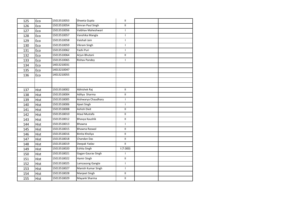| 125 | Eco         | 15013510053 | Shweta Gupta         | $\mathbf H$                |  |
|-----|-------------|-------------|----------------------|----------------------------|--|
| 126 | Eco         | 15013510054 | Simran Paul Singh    | $\mathbf{II}$              |  |
| 127 | Eco         | 15013510056 | Vaibhav Maheshwari   | $\mathbf{I}$               |  |
| 128 | Eco         | 15013510057 | Vanshika Mangla      | $\mathbf{I}$               |  |
| 129 | Eco         | 15013510058 | Vaishali Jain        | $\mathbf{I}$               |  |
| 130 | Eco         | 15013510059 | Vikram Singh         | $\mathbf{I}$               |  |
| 131 | Eco         | 15013510062 | Yashi Puri           | $\mathbf{I}$               |  |
| 132 | Eco         | 15013510064 | Arjun Bhutani        | $\ensuremath{\mathsf{II}}$ |  |
| 133 | Eco         | 15013510065 | <b>Rishav Pandey</b> | $\mathbf{I}$               |  |
| 134 | Eco         | 14013210031 |                      |                            |  |
| 135 | Eco         | 14013210047 |                      |                            |  |
| 136 | Eco         | 14013210055 |                      |                            |  |
|     |             |             |                      |                            |  |
|     |             |             |                      |                            |  |
| 137 | <b>Hist</b> | 15013518002 | Abhishek Raj         | $\mathbf{II}$              |  |
| 138 | Hist        | 15013518004 | Aditya Sharma        | $\mathbf{H}$               |  |
| 139 | <b>Hist</b> | 15013518005 | Aishwarya Chaudhary  | $\mathbf{I}$               |  |
| 140 | <b>Hist</b> | 15013518006 | Ajeet Singh          | $\mathbf{I}$               |  |
| 141 | <b>Hist</b> | 15013518008 | Ashish Dixit         | $\mathbf{II}$              |  |
| 142 | <b>Hist</b> | 15013518010 | Ataul Mustafa        | $\mathbf{H}$               |  |
| 143 | <b>Hist</b> | 15013518012 | Bhavya Kaushik       | $\mathbf{H}$               |  |
| 144 | <b>Hist</b> | 15013518013 | Bhawna               | $\mathsf{I}$               |  |
| 145 | <b>Hist</b> | 15013518015 | Bhawna Raswal        | $\rm H$                    |  |
| 146 | <b>Hist</b> | 15013518016 | Binita Kholiya       | $\mathbf{H}$               |  |
| 147 | Hist        | 15013518018 | Chandan Das          | $\mathbf H$                |  |
| 148 | <b>Hist</b> | 15013518019 | Deepak Yadav         | $\mathbf{H}$               |  |
| 149 | <b>Hist</b> | 15013518020 | Eshita Singh         | 1(7.000)                   |  |
| 150 | <b>Hist</b> | 15013518021 | Gagan Gaurav Singh   | T                          |  |
| 151 | Hist        | 15013518022 | Hamir Singh          | $\ensuremath{\mathsf{II}}$ |  |
| 152 | <b>Hist</b> | 15013518025 | Lamzasong Gangte     | $\mathsf{I}$               |  |
| 153 | <b>Hist</b> | 15013518027 | Manish Kumar Singh   | $\mathbf{I}$               |  |
| 154 | <b>Hist</b> | 15013518028 | Manjeet Singh        | Ш                          |  |
| 155 | <b>Hist</b> | 15013518029 | Mayank Sharma        | $\ensuremath{\mathsf{II}}$ |  |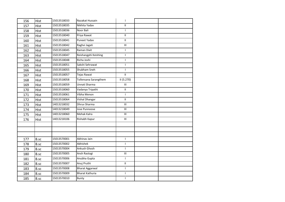| 156 | Hist        | 15013518033 | Nazakat Hussain        | $\mathbf{I}$                       |  |
|-----|-------------|-------------|------------------------|------------------------------------|--|
| 157 | <b>Hist</b> | 15013518035 | Nikhita Yadav          | $\mathbf{H}$                       |  |
| 158 | <b>Hist</b> | 15013518036 | Noor Bali              | $\mathsf{I}$                       |  |
| 159 | Hist        | 15013518040 | Priya Rawat            | $\mathbf{H}$                       |  |
| 160 | <b>Hist</b> | 15013518041 | Puneet Yadav           | $\mathbf{H}$                       |  |
| 161 | Hist        | 15013518042 | Raghvi Jagati          | $\ensuremath{\mathsf{III}}\xspace$ |  |
| 162 | <b>Hist</b> | 15013518045 | Raman Dixit            | $\mathbf{I}$                       |  |
| 163 | Hist        | 15013518047 | Reishangphi Keishing   | $\mathbf{I}$                       |  |
| 164 | <b>Hist</b> | 15013518048 | Richa Joshi            | $\mathbf{I}$                       |  |
| 165 | <b>Hist</b> | 15013518051 | Sakshi Sehrawat        | $\mathbf{I}$                       |  |
| 166 | <b>Hist</b> | 15013518055 | Shubham Sneh           | $\mathsf{I}$                       |  |
| 167 | <b>Hist</b> | 15013518057 | Tejas Rawat            | $\mathbf H$                        |  |
| 168 | Hist        | 15013518058 | Tollensana Sarangthem  | II(5.270)                          |  |
| 169 | Hist        | 15013518059 | Unnati Sharma          | $\ensuremath{\mathsf{III}}\xspace$ |  |
| 170 | <b>Hist</b> | 15013518060 | Vadanya Tripathi       | Ш.                                 |  |
| 171 | <b>Hist</b> | 15013518061 | Vibha Menon            | $\mathbf{I}$                       |  |
| 172 | <b>Hist</b> | 15013518064 | Vishal Dhangar         | $\mathbf{H}$                       |  |
| 173 | Hist        | 14013218032 | Dhruv Sharma           | Ш                                  |  |
| 174 | <b>Hist</b> | 14013218049 | Jose Punnoose          | III                                |  |
| 175 | <b>Hist</b> | 14013218060 | Mehak Kalra            | Ш                                  |  |
| 176 | <b>Hist</b> | 14013218106 | Rishabh Kapur          | III                                |  |
|     |             |             |                        |                                    |  |
|     |             |             |                        |                                    |  |
|     |             |             |                        |                                    |  |
| 177 | B.sc        | 15013570001 | Abhinav Jain           | $\mathbf{I}$                       |  |
| 178 | B.sc        | 15013570002 | Abhishek               | $\mathsf{I}$                       |  |
| 179 | B.sc        | 15013570004 | Ankush Ghosh           | $\mathsf{I}$                       |  |
| 180 | B.sc        | 15013570005 | Ansh Rastogi           | III                                |  |
| 181 | B.sc        | 15013570006 | Anubha Gupta           | $\mathbf{I}$                       |  |
| 182 | B.sc        | 15013570007 | Anuj Pruthi            | $\mathbf{H}$                       |  |
| 183 | B.sc        | 15013570008 | <b>Bharat Aggarwal</b> | $\mathsf{I}$                       |  |
| 184 | B.sc        | 15013570009 | <b>Bharat Kathuria</b> | $\mathbf{I}$                       |  |
| 185 | B.sc        | 15013570010 | Bunty                  | $\mathsf{I}$                       |  |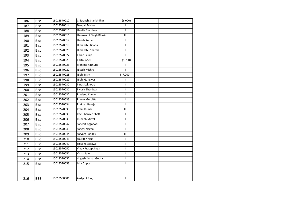| 186 | B.sc       | 15013570012 | Chitransh Shankhdhar   | II(6.000)                          |  |
|-----|------------|-------------|------------------------|------------------------------------|--|
| 187 | B.sc       | 15013570014 | Deepali Mishra         | $\mathbf{H}$                       |  |
| 188 | B.sc       | 15013570015 | Hardik Bhardwaj        | $\mathbf{H}$                       |  |
| 189 | B.sc       | 15013570016 | Harmanjot Singh Bhasin | $\ensuremath{\mathsf{III}}\xspace$ |  |
| 190 | B.sc       | 15013570017 | Harish Kumar           | $\mathbf{I}$                       |  |
| 191 | B.sc       | 15013570019 | Himanshu Bhatia        | $\rm H$                            |  |
| 192 | B.sc       | 15013570020 | Himanshu Sharma        | L                                  |  |
| 193 | B.sc       | 15013570022 | Karan Saluja           |                                    |  |
| 194 | B.sc       | 15013570023 | Kartik Goel            | II (5.730)                         |  |
| 195 | B.sc       | 15013570025 | Mahima Kathuria        |                                    |  |
| 196 | B.sc       | 15013570027 | Nitesh Mishra          | $\mathbf{II}$                      |  |
| 197 | B.sc       | 15013570028 | Nidhi Bisht            | 1(7.000)                           |  |
| 198 | B.sc       | 15013570029 | Nidhi Gangwar          | T                                  |  |
| 199 | B.sc       | 15013570030 | Paras Lakhotra         | $\mathbf{I}$                       |  |
| 200 | B.sc       | 15013570031 | Piyush Bhardwaj        | $\mathsf{I}$                       |  |
| 201 | B.sc       | 15013570032 | Pradeep Kumar          | T                                  |  |
| 202 | B.sc       | 15013570033 | Pranav Gurditta        | $\mathsf{I}$                       |  |
| 203 | B.sc       | 15013570034 | Prakhar Baveja         | $\mathbf{I}$                       |  |
| 204 | B.sc       | 15013570035 | Prem Kumar             | Ш                                  |  |
| 205 | B.sc       | 15013570038 | Ravi Shanker Bhatt     | $\bar{\rm H}$                      |  |
| 206 | B.sc       | 15013570039 | Rishabh Mittal         | $\mathbf{H}$                       |  |
| 207 | B.sc       | 15013570042 | Sanchit Aggarwal       | $\mathsf{I}$                       |  |
| 208 | B.sc       | 15013570043 | Sanghi Nagpal          | $\mathbf{I}$                       |  |
| 209 | B.sc       | 15013570044 | Satyam Pandey          | $\ensuremath{\mathsf{III}}\xspace$ |  |
| 210 | B.sc       | 15013570045 | Saurabh Negi           | $\mathsf{L}$                       |  |
| 211 | B.sc       | 15013570049 | Shivank Agrawal        | $\mathsf{I}$                       |  |
| 212 | B.sc       | 15013570050 | Vinay Pratap Singh     | $\mathsf{I}$                       |  |
| 213 | B.sc       | 15013570051 | Vishal Jain            | $\mathsf{I}$                       |  |
| 214 | B.sc       | 15013570052 | Yogesh Kumar Gupta     | $\mathsf{I}$                       |  |
| 215 | B.sc       | 15013570053 | Isha Gupta             | $\mathsf{I}$                       |  |
|     |            |             |                        |                                    |  |
|     |            |             |                        |                                    |  |
| 216 | <b>BBE</b> | 15013508001 | Aadyant Raaj           | $\ensuremath{\mathsf{II}}$         |  |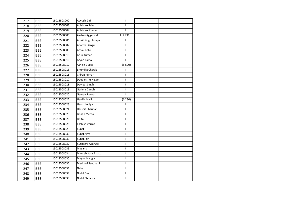| 217 | <b>BBE</b> | 15013508002 | Aayush Giri              | $\mathbf{I}$               |  |
|-----|------------|-------------|--------------------------|----------------------------|--|
| 218 | <b>BBE</b> | 15013508003 | Abhishek Jain            | $\mathbf{H}$               |  |
| 219 | <b>BBE</b> | 15013508004 | Abhishek Kumar           | $\mathbf{H}$               |  |
| 220 | <b>BBE</b> | 15013508005 | Akshay Aggarwal          | 1(7.730)                   |  |
| 221 | <b>BBE</b> | 15013508006 | Amrit Singh Juneja       | $\mathbf{H}$               |  |
| 222 | <b>BBE</b> | 15013508007 | Ananya Dengri            | $\mathsf{I}$               |  |
| 223 | <b>BBE</b> | 15013508009 | Arnav Kohli              | L                          |  |
| 224 | <b>BBE</b> | 15013508010 | Arun Kumar               | $\ensuremath{\mathsf{II}}$ |  |
| 225 | <b>BBE</b> | 15013508011 | Aryan Kamal              | $\ensuremath{\mathsf{II}}$ |  |
| 226 | <b>BBE</b> | 15013508012 | Ashish Gupta             | II(5.500)                  |  |
| 227 | <b>BBE</b> | 15013508015 | Bhumika Chawla           | $\mathbf{I}$               |  |
| 228 | <b>BBE</b> | 15013508016 | Chirag Kumar             | $\ensuremath{\mathsf{II}}$ |  |
| 229 | <b>BBE</b> | 15013508017 | Deepanshu Nigam          | $\mathbf{H}$               |  |
| 230 | <b>BBE</b> | 15013508018 | Devjeet Singh            | $\ensuremath{\mathsf{II}}$ |  |
| 231 | <b>BBE</b> | 15013508019 | Garima Gandhi            | $\mathsf{I}$               |  |
| 232 | <b>BBE</b> | 15013508020 | Gaurav Rajora            | T                          |  |
| 233 | <b>BBE</b> | 15013508022 | Hardik Malik             | II (6.230)                 |  |
| 234 | <b>BBE</b> | 15013508023 | Harsh Lohiya             | $\mathbf{H}$               |  |
| 235 | <b>BBE</b> | 15013508024 | Harshit Chauhan          | $\mathbf{H}$               |  |
| 236 | <b>BBE</b> | 15013508025 | Ishaan Mehta             | $\mathbf{H}$               |  |
| 237 | <b>BBE</b> | 15013508026 | Ishita                   | $\mathbf{II}$              |  |
| 238 | <b>BBE</b> | 15013508028 | Kashish Verma            | $\mathbf{H}$               |  |
| 239 | <b>BBE</b> | 15013508029 | Kunal                    | $\mathbf{H}$               |  |
| 240 | <b>BBE</b> | 15013508030 | Kunal Arya               | T                          |  |
| 241 | <b>BBE</b> | 15013508031 | Kunal Jain               | L                          |  |
| 242 | <b>BBE</b> | 15013508032 | Kushagra Agarwal         | $\mathsf{L}$               |  |
| 243 | <b>BBE</b> | 15013508033 | Mayank                   | $\mathbf{II}$              |  |
| 244 | <b>BBE</b> | 15013508034 | <b>Mansab Kaur Bhatt</b> | $\mathsf{I}$               |  |
| 245 | <b>BBE</b> | 15013508035 | Mayur Mangla             | L                          |  |
| 246 | <b>BBE</b> | 15013508036 | Medhavi Sandhani         | $\mathsf{L}$               |  |
| 247 | <b>BBE</b> | 15013508037 | Neha                     | L                          |  |
| 248 | <b>BBE</b> | 15013508038 | Nikhil Dev               | $\mathbf{H}$               |  |
| 249 | <b>BBE</b> | 15013508039 | Nikhil Chhabra           | $\mathsf{I}$               |  |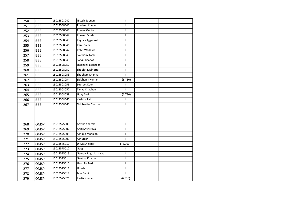| 250 | <b>BBE</b>  | 15013508040 | Nitesh Subnani        | $\mathbf{I}$               |  |
|-----|-------------|-------------|-----------------------|----------------------------|--|
| 251 | <b>BBE</b>  | 15013508041 | Pradeep Kumar         | $\mathsf{L}$               |  |
| 252 | <b>BBE</b>  | 15013508043 | Pranav Gupta          | $\mathbf{I}$               |  |
| 253 | <b>BBE</b>  | 15013508044 | Puneet Bakshi         | $\mathbf{H}$               |  |
| 254 | <b>BBE</b>  | 15013508045 | Raghav Aggarwal       | $\mathbf{I}$               |  |
| 255 | <b>BBE</b>  | 15013508046 | Renu Saini            | L                          |  |
| 256 | <b>BBE</b>  | 15013508047 | Rohit Wadhwa          | $\mathbf{I}$               |  |
| 257 | <b>BBE</b>  | 15013508048 | Saksham Kohli         | $\mathbf{I}$               |  |
| 258 | <b>BBE</b>  | 15013508049 | Satvik Bhanot         | $\mathbf{I}$               |  |
| 259 | <b>BBE</b>  | 15013508050 | shashank Badgujar     | $\ensuremath{\mathsf{II}}$ |  |
| 260 | <b>BBE</b>  | 15013508052 | Shobhit Malhotra      | $\mathsf{I}$               |  |
| 261 | <b>BBE</b>  | 15013508053 | Shubham Khanna        | $\mathbf{I}$               |  |
| 262 | <b>BBE</b>  | 15013508054 | Siddharsh Kumar       | II(5.730)                  |  |
| 263 | <b>BBE</b>  | 15013508055 | Supreet Kaur          | $\mathbf{I}$               |  |
| 264 | <b>BBE</b>  | 15013508057 | Tanya Chauhan         | T                          |  |
| 265 | <b>BBE</b>  | 15013508058 | <b>Uday Suri</b>      | 1(6.730)                   |  |
| 266 | <b>BBE</b>  | 15013508060 | Yashika Pal           | $\mathbf{I}$               |  |
| 267 | <b>BBE</b>  | 15013508061 | Siddhartha Sharma     | $\mathsf{L}$               |  |
|     |             |             |                       |                            |  |
|     |             |             |                       |                            |  |
|     |             |             |                       |                            |  |
| 268 | <b>OMSP</b> | 15013575001 | Aastha Sharma         | $\mathbf{I}$               |  |
| 269 | <b>OMSP</b> | 15013575002 | Aditi Srivastava      | $\mathbf{I}$               |  |
| 270 | <b>OMSP</b> | 15013575005 | Ashima Mahajan        | Ш                          |  |
| 271 | <b>OMSP</b> | 15013575006 | Ashutosh              | $\mathbf{I}$               |  |
| 272 | <b>OMSP</b> | 15013575011 | Divya Shekhar         | II(6.000)                  |  |
| 273 | <b>OMSP</b> | 15013575012 | Gargi                 | T                          |  |
| 274 | <b>OMSP</b> | 15013575013 | Gaurav Singh Ahalawat | L                          |  |
| 275 | <b>OMSP</b> | 15013575014 | Geetika Khattar       | L                          |  |
| 276 | <b>OMSP</b> | 15013575016 | Harshita Bedi         | $\mathbf{H}$               |  |
| 277 | <b>OMSP</b> | 15013575017 | Hitesh                | $\mathbf{I}$               |  |
| 278 | <b>OMSP</b> | 15013575019 | Jaya Saini            | $\mathsf{I}$               |  |
| 279 | <b>OMSP</b> | 15013575021 | Kartik Kumar          | 1(6.530)                   |  |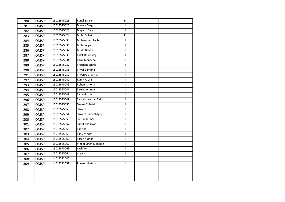| 280 | <b>OMSP</b> | 15013575025 | <b>Kunal Bansal</b>  | $\ensuremath{\mathsf{III}}\xspace$ |  |
|-----|-------------|-------------|----------------------|------------------------------------|--|
| 281 | <b>OMSP</b> | 15013575027 | Manica Garg          | $\mathbf{I}$                       |  |
| 282 | <b>OMSP</b> | 15013575028 | Mayank Garg          | $\mathbf{H}$                       |  |
| 283 | <b>OMSP</b> | 15013575029 | <b>Mohd Sohail</b>   | $\mathsf{III}$                     |  |
| 284 | <b>OMSP</b> | 15013575030 | Mohammad Talib       | $\mathbf{H}$                       |  |
| 285 | <b>OMSP</b> | 15013575031 | Mohit Arya           | $\mathbf H$                        |  |
| 286 | <b>OMSP</b> | 15013575032 | <b>Mudit Bhatia</b>  | $\mathsf{L}$                       |  |
| 287 | <b>OMSP</b> | 15013575033 | Palak Bhardwaj       | $\ensuremath{\mathsf{II}}$         |  |
| 288 | <b>OMSP</b> | 15013575034 | Parul Manocha        | L                                  |  |
| 289 | <b>OMSP</b> | 15013575037 | Prashant Bhatia      | $\mathbf H$                        |  |
| 290 | <b>OMSP</b> | 15013575038 | Priyal Gambhir       | $\mathsf{L}$                       |  |
| 291 | <b>OMSP</b> | 15013575039 | Priyanka Sharma      | $\mathbf{I}$                       |  |
| 292 | <b>OMSP</b> | 15013575040 | Ramit Arora          | L                                  |  |
| 293 | <b>OMSP</b> | 15013575043 | Rohan Kanojia        | $\mathbf{I}$                       |  |
| 294 | <b>OMSP</b> | 15013575046 | Saksham Jindal       | $\mathbf{I}$                       |  |
| 295 | <b>OMSP</b> | 15013575048 | Samyak Jain          | $\mathbf{I}$                       |  |
| 296 | <b>OMSP</b> | 15013575049 | Saurabh Kumar Giri   | $\ensuremath{\mathsf{II}}$         |  |
| 297 | <b>OMSP</b> | 15013575050 | Seema Chhetri        | $\rm H$                            |  |
| 298 | <b>OMSP</b> | 15013575053 | Shweta               | $\mathsf{I}$                       |  |
| 299 | <b>OMSP</b> | 15013575054 | Shweta Ramesh Iyer   | L                                  |  |
| 300 | <b>OMSP</b> | 15013575055 | Simran Kumar         | $\mathbf{I}$                       |  |
| 301 | <b>OMSP</b> | 15013575057 | Sumit Khairwar       | $\mathsf{L}$                       |  |
| 302 | <b>OMSP</b> | 15013575058 | Tanisha              | $\mathbf{I}$                       |  |
| 303 | <b>OMSP</b> | 15013575059 | Tanu Mishra          | Ш                                  |  |
| 304 | <b>OMSP</b> | 15013575060 | Tarun Kumar          | $\mathsf{I}$                       |  |
| 305 | <b>OMSP</b> | 15013575062 | Vineet Singh Mahajan | $\mathsf{L}$                       |  |
| 306 | <b>OMSP</b> | 15013575063 | Yash Verma           | $\mathbf{H}$                       |  |
| 307 | <b>OMSP</b> | 15013575064 | Yogita               | $\mathbf{H}$                       |  |
| 308 | <b>OMSP</b> | 14013292045 |                      |                                    |  |
| 309 | OMSP        | 14013292058 | Puneet Khatana       | $\mathsf{I}$                       |  |
|     |             |             |                      |                                    |  |
|     |             |             |                      |                                    |  |
|     |             |             |                      |                                    |  |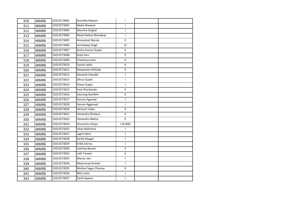| 310 | <b>MMRB</b> | 15013573001 | Avantika Nawani       | $\mathbf{I}$               |  |
|-----|-------------|-------------|-----------------------|----------------------------|--|
| 311 | <b>MMRB</b> | 15013573002 | Abdul Waseem          | $\mathsf{I}$               |  |
| 312 | <b>MMRB</b> | 15013573003 | Akansha Singhal       | $\mathsf{I}$               |  |
| 313 | <b>MMRB</b> | 15013573004 | Akash Rattan Bhardwaj | $\mathsf{I}$               |  |
| 314 | <b>MMRB</b> | 15013573005 | Amarpreet Narula      | $\mathbf{H}$               |  |
| 315 | <b>MMRB</b> | 15013573006 | Amritdeep Singh       | Ш                          |  |
| 316 | <b>MMRB</b> | 15013573007 | Anshu Kumar Gupta     | $\mathbf{H}$               |  |
| 317 | <b>MMRB</b> | 15013573008 | Arpit Soni            | $\mathbf H$                |  |
| 318 | <b>MMRB</b> | 15013573009 | Chaitanya Saini       | $\mathbf H$                |  |
| 319 | <b>MMRB</b> | 15013573010 | Danish Jaitly         | $\mathbf H$                |  |
| 320 | <b>MMRB</b> | 15013573011 | Deepanshu Khitolia    | $\mathbf{H}$               |  |
| 321 | <b>MMRB</b> | 15013573012 | Devansh Chandel       | $\mathbf{I}$               |  |
| 322 | <b>MMRB</b> | 15013573013 | Dhruv Gulati          | $\mathbf{I}$               |  |
| 323 | <b>MMRB</b> | 15013573014 | Diwas Gupta           | $\mathbf{I}$               |  |
| 324 | <b>MMRB</b> | 15013573015 | Eesh Kharbanda        | $\mathbf{H}$               |  |
| 325 | <b>MMRB</b> | 15013573016 | Gaurang Gambhir       | $\mathbf H$                |  |
| 326 | <b>MMRB</b> | 15013573017 | Gaurav Agarwal        | $\mathsf{I}$               |  |
| 327 | <b>MMRB</b> | 15013573018 | Gaurav Aggarwal       | $\mathsf{I}$               |  |
| 328 | <b>MMRB</b> | 15013573020 | <b>Hemant Yadav</b>   | $\mathbf{H}$               |  |
| 329 | <b>MMRB</b> | 15013573021 | Himanshu Khatana      | $\mathbf{H}$               |  |
| 330 | <b>MMRB</b> | 15013573022 | Himanshu Mehta        | $\mathbf{H}$               |  |
| 331 | <b>MMRB</b> | 15013573024 | Himanshu Hasija       | 1(6.500)                   |  |
| 332 | <b>MMRB</b> | 15013573025 | Ishan Mehrotra        | T                          |  |
| 333 | <b>MMRB</b> | 15013573027 | Jagrit Sahni          | $\mathbf{I}$               |  |
| 334 | <b>MMRB</b> | 15013573028 | Kartik Ghagat         | $\mathbf{I}$               |  |
| 335 | <b>MMRB</b> | 15013573029 | Kritik Verma          | $\mathbf{I}$               |  |
| 336 | <b>MMRB</b> | 15013573030 | Lakshay Basran        | $\ensuremath{\mathsf{II}}$ |  |
| 337 | <b>MMRB</b> | 15013573032 | Lalit Tanwar          | $\mathbf{II}$              |  |
| 338 | <b>MMRB</b> | 15013573033 | Manan Jain            | $\mathbf{I}$               |  |
| 339 | <b>MMRB</b> | 15013573034 | Mohmmad Arshad        | $\mathbf{I}$               |  |
| 340 | <b>MMRB</b> | 15013573035 | Multani Sagar Chaman  | $\ensuremath{\mathsf{II}}$ |  |
| 341 | <b>MMRB</b> | 15013573036 | Nitin Joshi           | T                          |  |
| 342 | <b>MMRB</b> | 15013573037 | Parth Kapoor          | $\mathbf{I}$               |  |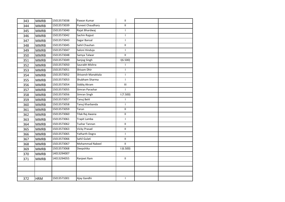| 343 | <b>MMRB</b> | 15013573038 | Pawan Kumar             | Ш.                      |  |
|-----|-------------|-------------|-------------------------|-------------------------|--|
| 344 | <b>MMRB</b> | 15013573039 | <b>Puneet Chaudhary</b> | $\mathbf{H}$            |  |
| 345 | <b>MMRB</b> | 15013573040 | Rajat Bhardwaj          | $\mathbf{I}$            |  |
| 346 | <b>MMRB</b> | 15013573042 | Sachin Rajput           | $\mathsf{I}$            |  |
| 347 | <b>MMRB</b> | 15013573043 | Sagar Bansal            | $\mathbf{I}$            |  |
| 348 | <b>MMRB</b> | 15013573045 | Sahil Chauhan           | $\overline{\mathsf{H}}$ |  |
| 349 | <b>MMRB</b> | 15013573047 | Saloni Hinduja          | $\mathsf{L}$            |  |
| 350 | <b>MMRB</b> | 15013573048 | Samya Talwar            | $\mathbf{H}$            |  |
| 351 | <b>MMRB</b> | 15013573049 | Sanjog Singh            | I(6.500)                |  |
| 352 | <b>MMRB</b> | 15013573050 | Saurabh Mishra          | $\mathsf{I}$            |  |
| 353 | <b>MMRB</b> | 15013573051 | Shivam Dhir             | $\mathbf{I}$            |  |
| 354 | <b>MMRB</b> | 15013573052 | Shivansh Manaktala      | $\mathsf{I}$            |  |
| 355 | <b>MMRB</b> | 15013573053 | Shubham Sharma          | $\mathbf{I}$            |  |
| 356 | <b>MMRB</b> | 15013573054 | Siddiq Akram            | $\mathbf{III}$          |  |
| 357 | <b>MMRB</b> | 15013573055 | Simran Parashar         | $\mathbf{I}$            |  |
| 358 | <b>MMRB</b> | 15013573056 | Simran Singh            | 1(7.500)                |  |
| 359 | <b>MMRB</b> | 15013573057 | Tanuj Behl              | $\mathbf{I}$            |  |
| 360 | <b>MMRB</b> | 15013573058 | Tanuj Kharbanda         | $\mathbf{I}$            |  |
| 361 | <b>MMRB</b> | 15013573059 | Tarun                   | П.                      |  |
| 362 | <b>MMRB</b> | 15013573060 | Tilak Raj Awana         | $\rm H$                 |  |
| 363 | <b>MMRB</b> | 15013573061 | Trapit Lamba            | $\mathbf{I}$            |  |
| 364 | <b>MMRB</b> | 15013573062 | Tushar Tannan           | $\mathbf{H}$            |  |
| 365 | <b>MMRB</b> | 15013573063 | <b>Vicky Prasad</b>     | Ш                       |  |
| 366 | <b>MMRB</b> | 15013573065 | Yatharth Dogra          | $\mathbf{I}$            |  |
| 367 | <b>MMRB</b> | 15013573066 | Sahil Gulati            | $\mathbf H$             |  |
| 368 | <b>MMRB</b> | 15013573067 | Mohammad Nabeel         | $\mathbf{H}$            |  |
| 369 | <b>MMRB</b> | 15013573068 | Deepshika               | 1(6.500)                |  |
| 370 | <b>MMRB</b> | 14013294007 |                         |                         |  |
| 371 | <b>MMRB</b> | 14013294055 | Ranjeet Ram             | $\mathbf H$             |  |
|     |             |             |                         |                         |  |
|     |             |             |                         |                         |  |
|     |             |             |                         |                         |  |
| 372 | <b>HRM</b>  | 15013571001 | Ajay Gandhi             | $\mathbf{I}$            |  |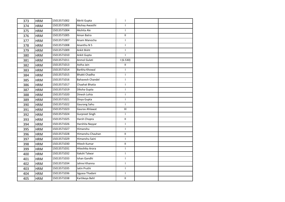| 373 | <b>HRM</b> | 15013571002 | Akriti Gupta            | $\mathbf{I}$               |  |
|-----|------------|-------------|-------------------------|----------------------------|--|
| 374 | <b>HRM</b> | 15013571003 | Akshay Awasthi          | $\mathsf{I}$               |  |
| 375 | <b>HRM</b> | 15013571004 | Akshita Ale             | $\mathsf{I}$               |  |
| 376 | <b>HRM</b> | 15013571005 | Aman Batra              | $\mathbf H$                |  |
| 377 | <b>HRM</b> | 15013571007 | Anam Manocha            | $\mathsf{I}$               |  |
| 378 | <b>HRM</b> | 15013571008 | Ananthu N S             | $\mathbf{I}$               |  |
| 379 | <b>HRM</b> | 15013571009 | Ankit Bisht             | $\mathbf{I}$               |  |
| 380 | <b>HRM</b> | 15013571010 | Ankit Gupta             | $\mathbf{I}$               |  |
| 381 | <b>HRM</b> | 15013571011 | Anmol Gulati            | 1(6.530)                   |  |
| 382 | <b>HRM</b> | 15013571013 | Astha Jain              | $\overline{\mathsf{H}}$    |  |
| 383 | <b>HRM</b> | 15013571014 | Barkha Khowal           | $\mathbf{I}$               |  |
| 384 | <b>HRM</b> | 15013571015 | Bhakti Chadha           | $\mathbf{I}$               |  |
| 385 | <b>HRM</b> | 15013571016 | <b>Bahavesh Chandel</b> | $\mathbf{I}$               |  |
| 386 | <b>HRM</b> | 15013571017 | Chaahat Bhatia          | $\mathbf{I}$               |  |
| 387 | <b>HRM</b> | 15013571019 | Diksha Gupta            | $\mathsf{I}$               |  |
| 388 | <b>HRM</b> | 15013571020 | Dinesh Lohia            | $\mathbf{I}$               |  |
| 389 | <b>HRM</b> | 15013571021 | Divya Gupta             | T                          |  |
| 390 | <b>HRM</b> | 15013571022 | Gaurang Sahu            | $\mathbf{I}$               |  |
| 391 | <b>HRM</b> | 15013571023 | Gaurav Ahlawat          | III                        |  |
| 392 | <b>HRM</b> | 15013571024 | <b>Gurpreet Singh</b>   | T                          |  |
| 393 | <b>HRM</b> | 15013571025 | Harsh Chopra            | $\mathbf{H}$               |  |
| 394 | <b>HRM</b> | 15013571026 | Harshita Nayyar         | $\mathbf{I}$               |  |
| 395 | <b>HRM</b> | 15013571027 | Himanshu                | $\mathbf{I}$               |  |
| 396 | <b>HRM</b> | 15013571028 | Himanshu Chauhan        | $\mathbf H$                |  |
| 397 | <b>HRM</b> | 15013571029 | Himanshu Saini          | $\mathbf{I}$               |  |
| 398 | <b>HRM</b> | 15013571030 | <b>Hitesh Kumar</b>     | $\mathbf H$                |  |
| 399 | <b>HRM</b> | 15013571031 | Hiteshika Arora         | $\mathsf{I}$               |  |
| 400 | <b>HRM</b> | 15013571032 | Ilakshi Talwar          | $\mathsf{I}$               |  |
| 401 | <b>HRM</b> | 15013571033 | Ishan Gandhi            | $\mathbf{I}$               |  |
| 402 | <b>HRM</b> | 15013571034 | Jahnvi Khanna           | $\mathsf{I}$               |  |
| 403 | <b>HRM</b> | 15013571035 | Jatin Pruthi            | $\mathbf{I}$               |  |
| 404 | <b>HRM</b> | 15013571036 | Jigyasa Thadani         | $\mathbf{I}$               |  |
| 405 | <b>HRM</b> | 15013571038 | Kartikeya Behl          | $\ensuremath{\mathsf{II}}$ |  |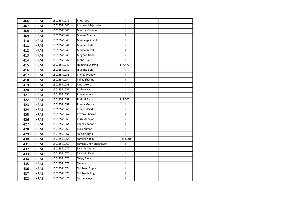| 406 | <b>HRM</b> | 15013571039 | Khushboo               | I             |  |
|-----|------------|-------------|------------------------|---------------|--|
| 407 | <b>HRM</b> | 15013571040 | Krishnaa Majumdar      | $\mathsf{L}$  |  |
| 408 | <b>HRM</b> | 15013571041 | Mamta Marasini         | $\mathbf{I}$  |  |
| 409 | <b>HRM</b> | 15013571042 | Manan Khanna           | $\mathbf{II}$ |  |
| 410 | <b>HRM</b> | 15013571043 | Mandeep Solanki        | $\mathbf{I}$  |  |
| 411 | <b>HRM</b> | 15013571044 | Mannan Rahis           | $\mathbf{I}$  |  |
| 412 | <b>HRM</b> | 15013571045 | Medha Rawat            | Ш.            |  |
| 413 | <b>HRM</b> | 15013571046 | Meghna Tikoo           | $\mathbf{I}$  |  |
| 414 | <b>HRM</b> | 15013571047 | Mohd. Kaif             | T             |  |
| 415 | <b>HRM</b> | 15013571049 | Namrata Sharma         | 1(7.470)      |  |
| 416 | <b>HRM</b> | 15013571052 | Nivedita Behl          | T             |  |
| 417 | <b>HRM</b> | 15013571053 | P.V.K. Pranav          | $\mathbf{I}$  |  |
| 418 | <b>HRM</b> | 15013571054 | Pallav Sharma          | Ш             |  |
| 419 | <b>HRM</b> | 15013571055 | Paras Arora            | $\mathsf{I}$  |  |
| 420 | <b>HRM</b> | 15013571056 | Prabjot Kaur           | $\mathsf{I}$  |  |
| 421 | <b>HRM</b> | 15013571057 | Pragya Aneja           | $\mathbf{I}$  |  |
| 422 | <b>HRM</b> | 15013571058 | Prakriti Batra         | 1(7.000)      |  |
| 423 | <b>HRM</b> | 15013571059 | Pranjal Gupta          | T             |  |
| 424 | <b>HRM</b> | 15013571061 | Praujwal Sadh          | $\mathbf{I}$  |  |
| 425 | <b>HRM</b> | 15013571062 | Priyank Sharma         | Ш.            |  |
| 426 | <b>HRM</b> | 15013571063 | Puru Mahajan           | L             |  |
| 427 | <b>HRM</b> | 15013571064 | Raghav Kapoor          | Ш.            |  |
| 428 | <b>HRM</b> | 15013571066 | Rinki Kumari           | $\mathsf{I}$  |  |
| 429 | <b>HRM</b> | 15013571067 | Sakshi Gupta           | $\mathbf{I}$  |  |
| 430 | <b>HRM</b> | 15013571068 | Sameer Yadav           | II(5.500)     |  |
| 431 | <b>HRM</b> | 15013571069 | Samrat Singh Shekhawat | $\mathbf{H}$  |  |
| 432 | <b>HRM</b> | 15013571070 | Sanchit Ahuja          | $\mathsf{I}$  |  |
| 433 | <b>HRM</b> | 15013571071 | Sanskriti Negi         | $\mathbf{I}$  |  |
| 434 | <b>HRM</b> | 15013571072 | Shilpy Tiwari          | L             |  |
| 435 | <b>HRM</b> | 15013571073 | Shweta                 | $\mathsf{I}$  |  |
| 436 | <b>HRM</b> | 15013571074 | Siddhant Gupta         | $\mathbf{I}$  |  |
| 437 | <b>HRM</b> | 15013571075 | Siddharth Singh        | $\mathbf{II}$ |  |
| 438 | <b>HRM</b> | 15013571076 | Simran Goyal           | $\mathbf H$   |  |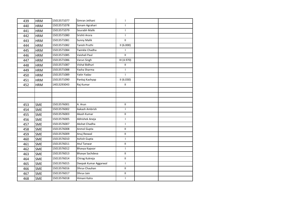| 439 | <b>HRM</b> | 15013571077 | Simran Jethani        | $\mathbf{I}$              |  |
|-----|------------|-------------|-----------------------|---------------------------|--|
| 440 | <b>HRM</b> | 15013571078 | Sonam Agrahari        | $\mathbf{I}$              |  |
| 441 | <b>HRM</b> | 15013571079 | Sourabh Malik         | $\mathbf{I}$              |  |
| 442 | <b>HRM</b> | 15013571080 | Srishti Arora         | $\mathsf{I}$              |  |
| 443 | <b>HRM</b> | 15013571081 | <b>Sunny Malik</b>    | П.                        |  |
| 444 | <b>HRM</b> | 15013571082 | Tanish Pruthi         | II(6.000)                 |  |
| 445 | <b>HRM</b> | 15013571084 | Twinkle Chadha        | $\mathbf{I}$              |  |
| 446 | <b>HRM</b> | 15013571085 | Vaishali Paul         | $\mathbf{II}$             |  |
| 447 | <b>HRM</b> | 15013571086 | Varun Singh           | III (4.970)               |  |
| 448 | <b>HRM</b> | 15013571087 | Vishal Bidhuri        | $\rm H$                   |  |
| 449 | <b>HRM</b> | 15013571088 | Yasha Sharma          | $\mathsf{I}$              |  |
| 450 | <b>HRM</b> | 15013571089 | Yatin Yadav           | $\mathbf{I}$              |  |
| 451 | <b>HRM</b> | 15013571090 | Pankaj Kashyap        | II(6.030)                 |  |
| 452 | <b>HRM</b> | 14013293043 | Raj Kumar             | $\mathbf{H}$              |  |
|     |            |             |                       |                           |  |
|     |            |             |                       |                           |  |
|     |            |             |                       |                           |  |
| 453 | <b>SME</b> | 15013576001 | A. Arun               | Ш.                        |  |
| 454 | <b>SME</b> | 15013576002 | Aakash Ambrish        | $\mathsf{I}$              |  |
| 455 | <b>SME</b> | 15013576003 | Akash Kumar           | $\ensuremath{\mathsf{H}}$ |  |
| 456 | <b>SME</b> | 15013576005 | Abhishek Aneja        | $\mathbf{I}$              |  |
| 457 | <b>SME</b> | 15013576007 | Akshat Chadha         | $\mathbf{I}$              |  |
| 458 | SME        | 15013576008 | Anmol Gupta           | $\rm H$                   |  |
| 459 | <b>SME</b> | 15013576009 | Anuj Rexwal           | Ш.                        |  |
| 460 | SME        | 15013576010 | Ashish Gupta          | $\mathbf{I}$              |  |
| 461 | <b>SME</b> | 15013576011 | <b>Atul Tanwar</b>    | Ш.                        |  |
| 462 | <b>SME</b> | 15013576012 | Bhavya Kapoor         | $\mathbf{I}$              |  |
| 463 | <b>SME</b> | 15013576013 | Bhavye Sachdeva       | $\mathbf{II}$             |  |
| 464 | SME        | 15013576014 | Chirag Kukreja        | $\mathbf H$               |  |
| 465 | <b>SME</b> | 15013576015 | Deepak Kumar Aggarwal | $\mathbf{I}$              |  |
| 466 | <b>SME</b> | 15013576016 | Dhruv Chauhan         | $\rm H$                   |  |
| 467 | <b>SME</b> | 15013576017 | Dhruv Jain            | $\mathbf{II}$             |  |
| 468 | SME        | 15013576018 | Himani Kalra          | $\mathbf{I}$              |  |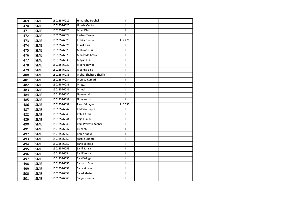| 469 | <b>SME</b> | 15013576019 | Himanshu Dobhal      | $\mathbf H$   |  |
|-----|------------|-------------|----------------------|---------------|--|
| 470 | <b>SME</b> | 15013576020 | Hitesh Mehta         | $\mathbf{I}$  |  |
| 471 | <b>SME</b> | 15013576021 | Ishan Dhir           | $\mathbf{H}$  |  |
| 472 | <b>SME</b> | 15013576024 | Keshav Tanwar        | $\mathbf{H}$  |  |
| 473 | <b>SME</b> | 15013576025 | Kritika Dhuria       | 1(7.470)      |  |
| 474 | <b>SME</b> | 15013576026 | Kunal Nara           | $\mathbf{I}$  |  |
| 475 | <b>SME</b> | 15013576028 | Mahima Puri          | $\mathbf{I}$  |  |
| 476 | <b>SME</b> | 15013576029 | Manik Malhotra       | $\mathbf{I}$  |  |
| 477 | <b>SME</b> | 15013576030 | Mayank Pal           | T             |  |
| 478 | SME        | 15013576031 | Megha Rawat          | $\mathbf{I}$  |  |
| 479 | <b>SME</b> | 15013576032 | Meghna Baid          | $\mathbf{I}$  |  |
| 480 | <b>SME</b> | 15013576033 | Mohd. Shahzeb Sheikh | T             |  |
| 481 | <b>SME</b> | 15013576034 | Monika Kumari        | $\mathbf{H}$  |  |
| 482 | <b>SME</b> | 15013576035 | Mrigya               | $\mathbf{I}$  |  |
| 483 | <b>SME</b> | 15013576036 | Mrinal               | $\mathbf{I}$  |  |
| 484 | <b>SME</b> | 15013576037 | Naman Jain           | $\mathbf{I}$  |  |
| 485 | <b>SME</b> | 15013576038 | Nitin Kumar          | $\mathbf{H}$  |  |
| 486 | <b>SME</b> | 15013576039 | Paras Vinayak        | 1(6.530)      |  |
| 487 | <b>SME</b> | 15013576042 | Radhika Gupta        | $\mathbf{I}$  |  |
| 488 | <b>SME</b> | 15013576043 | Rahul Arora          | $\mathbf{I}$  |  |
| 489 | <b>SME</b> | 15013576044 | Raja Kumar           | $\mathbf{I}$  |  |
| 490 | <b>SME</b> | 15013576046 | Ram Prakash Kanhar   | $\mathbf{I}$  |  |
| 491 | <b>SME</b> | 15013576047 | Rishabh              | $\mathbf{II}$ |  |
| 492 | <b>SME</b> | 15013576050 | Rohin Kapur          | $\mathbf{H}$  |  |
| 493 | <b>SME</b> | 15013576051 | Sachin Chopra        | $\mathbf{I}$  |  |
| 494 | <b>SME</b> | 15013576052 | Sahil Balhara        | $\mathbf{I}$  |  |
| 495 | <b>SME</b> | 15013576053 | Sahil Bansal         | $\mathbf H$   |  |
| 496 | <b>SME</b> | 15013576054 | Sahil Vohra          | $\mathbf{H}$  |  |
| 497 | <b>SME</b> | 15013576055 | Sajal Widge          | $\mathsf{I}$  |  |
| 498 | <b>SME</b> | 15013576057 | Samarth Sood         | $\mathsf{I}$  |  |
| 499 | <b>SME</b> | 15013576058 | Samyak Jain          | $\mathbf{I}$  |  |
| 500 | <b>SME</b> | 15013576059 | Sarad Khater         | T             |  |
| 501 | SME        | 15013576060 | Satyam Kumar         | $\mathbf{I}$  |  |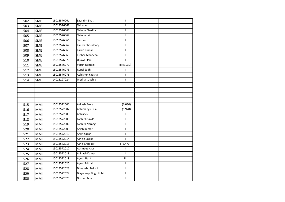| 502 | <b>SME</b> | 15013576061 | Saurabh Bhati         | $\mathbf H$                        |  |
|-----|------------|-------------|-----------------------|------------------------------------|--|
| 503 | <b>SME</b> | 15013576062 | Shiraz Ali            | $\mathbf{II}$                      |  |
| 504 | <b>SME</b> | 15013576063 | Shivam Chadha         | П.                                 |  |
| 505 | SME        | 15013576064 | Shivam Jain           | $\mathsf{I}$                       |  |
| 506 | <b>SME</b> | 15013576066 | Simran                | $\ensuremath{\mathsf{H}}$          |  |
| 507 | <b>SME</b> | 15013576067 | Tanish Choudhary      | $\mathsf{I}$                       |  |
| 508 | <b>SME</b> | 15013576068 | Tarun Kumar           | $\ensuremath{\mathsf{II}}$         |  |
| 509 | SME        | 15013576069 | Tushar Manocha        | $\mathbf{I}$                       |  |
| 510 | <b>SME</b> | 15013576070 | Ujjawal Jain          | Ш.                                 |  |
| 511 | SME        | 15013576071 | Varun Rohtagi         | III (5.030)                        |  |
| 512 | <b>SME</b> | 15013576075 | <b>Rupal Sadh</b>     | $\mathbf{I}$                       |  |
| 513 | <b>SME</b> | 15013576076 | Abhishek Kaushal      | $\mathbf{H}$                       |  |
| 514 | <b>SME</b> | 14013297024 | Medha Kaushik         | Ш.                                 |  |
|     |            |             |                       |                                    |  |
|     |            |             |                       |                                    |  |
|     |            |             |                       |                                    |  |
|     |            |             |                       |                                    |  |
| 515 | MMI        | 15013572001 | Aakash Arora          | II(6.030)                          |  |
| 516 | <b>MMI</b> | 15013572002 | Abhimanyu Dua         | II(5.970)                          |  |
| 517 | <b>MMI</b> | 15013572003 | Abhishek              | $\mathbf{I}$                       |  |
| 518 | MMI        | 15013572005 | Akshit Chawla         | $\mathbf{I}$                       |  |
| 519 | <b>MMI</b> | 15013572006 | Akshita Narang        | $\mathbf{I}$                       |  |
| 520 | MMI        | 15013572009 | Anish Kumar           | $\mathbf{I}$                       |  |
| 521 | <b>MMI</b> | 15013572010 | Ankit Sagar           | Ш.                                 |  |
| 522 | <b>MMI</b> | 15013572014 | Ashish Basist         | $\mathbf{H}$                       |  |
| 523 | MMI        | 15013572015 | Ashis Chhoker         | $\frac{1}{1}$ (6.470)              |  |
| 524 | MMI        | 15013572017 | Ashmeet Kaur          | $\mathbf{I}$                       |  |
| 525 | <b>MMI</b> | 15013572018 | Avinash Kumar         | $\mathbf{I}$                       |  |
| 526 | <b>MMI</b> | 15013572019 | Ayush Harit           | $\ensuremath{\mathsf{III}}\xspace$ |  |
| 527 | <b>MMI</b> | 15013572020 | Ayush Mittal          | $\mathbf{II}$                      |  |
| 528 | MMI        | 15013572023 | Dimanshu Bakshi       | $\mathbf{I}$                       |  |
| 529 | MMI        | 15013572024 | Divyadeep Singh Kohli | Ш                                  |  |
| 530 | <b>MMI</b> | 15013572025 | Gurnur Kaur           | $\mathsf I$                        |  |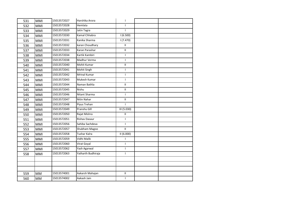| 531 | <b>MMI</b> | 15013572027 | Harshika Arora     | $\mathsf{I}$               |  |
|-----|------------|-------------|--------------------|----------------------------|--|
| 532 | <b>MMI</b> | 15013572028 | Hemlata            | $\mathsf{I}$               |  |
| 533 | <b>MMI</b> | 15013572029 | Jatin Tagra        | $\mathbf{I}$               |  |
| 534 | MMI        | 15013572030 | Kamal Chhabra      | 1(6.500)                   |  |
| 535 | <b>MMI</b> | 15013572031 | Kanika Sharma      | 1(7.470)                   |  |
| 536 | MMI        | 15013572032 | karan Choudhary    | $\mathbf{I}$               |  |
| 537 | <b>MMI</b> | 15013572033 | Karan Parashar     | $\mathbf{H}$               |  |
| 538 | MMI        | 15013572034 | Kartik Kambiri     | $\mathbf{I}$               |  |
| 539 | <b>MMI</b> | 15013572038 | Madhur Verma       | $\mathsf{I}$               |  |
| 540 | <b>MMI</b> | 15013572040 | Mohit Kumar        | $\mathbf{I}$               |  |
| 541 | MMI        | 15013572041 | Mohit Singh        | $\mathsf{L}$               |  |
| 542 | <b>MMI</b> | 15013572042 | Mrinal Kumar       | $\mathbf{I}$               |  |
| 543 | <b>MMI</b> | 15013572043 | Mukesh Kumar       | $\mathbf{I}$               |  |
| 544 | <b>MMI</b> | 15013572044 | Naman Bathla       | $\ensuremath{\mathsf{II}}$ |  |
| 545 | MMI        | 15013572045 | Nishu              | $\ensuremath{\mathsf{II}}$ |  |
| 546 | MMI        | 15013572046 | Nitant Sharma      | $\mathbf{I}$               |  |
| 547 | <b>MMI</b> | 15013572047 | Nitin Nahar        | $\mathbf{II}$              |  |
| 548 | MMI        | 15013572048 | Piyus Trehan       | $\mathbf{I}$               |  |
| 549 | MMI        | 15013572049 | Pranshu Gill       | III (5.030)                |  |
| 550 | <b>MMI</b> | 15013572050 | Rajat Mishra       | П.                         |  |
| 551 | MMI        | 15013572051 | Rishav Dasaur      | $\mathsf{I}$               |  |
| 552 | MMI        | 15013572056 | Sahiba Sachdeva    | $\mathsf{I}$               |  |
| 553 | MMI        | 15013572057 | Shubham Magoo      | $\mathbf{H}$               |  |
| 554 | <b>MMI</b> | 15013572058 | Tushar Kalra       | II(6.000)                  |  |
| 555 | <b>MMI</b> | 15013572059 | Vidhi Malik        | $\mathbf{I}$               |  |
| 556 | MMI        | 15013572060 | Virat Goyal        | $\mathsf{L}$               |  |
| 557 | MMI        | 15013572062 | Yash Agarwal       | $\mathsf{I}$               |  |
| 558 | <b>MMI</b> | 15013572063 | Yatharth Budhiraja | $\mathsf{I}$               |  |
|     |            |             |                    |                            |  |
|     |            |             |                    |                            |  |
|     |            |             |                    |                            |  |
| 559 | <b>MM</b>  | 15013574001 | Aakarsh Mahajan    | $\ensuremath{\mathsf{II}}$ |  |
| 560 | <b>MM</b>  | 15013574002 | Aakash Jain        | $\mathsf{I}$               |  |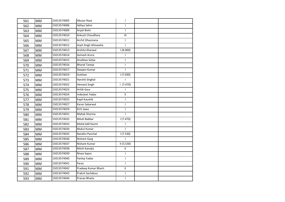| 561 | <b>MM</b> | 15013574005 | Abuzar Raza           | $\mathsf{I}$   |  |
|-----|-----------|-------------|-----------------------|----------------|--|
| 562 | <b>MM</b> | 15013574006 | Aditya Sahni          | $\mathsf{I}$   |  |
| 563 | <b>MM</b> | 15013574009 | Anjali Bisht          | $\mathsf{L}$   |  |
| 564 | <b>MM</b> | 15013574010 | Ankush Choudhary      | III            |  |
| 565 | <b>MM</b> | 15013574011 | Archit Dhasmana       | $\mathsf{I}$   |  |
| 566 | <b>MM</b> | 15013574012 | Arpit Singh Ahluwalia | $\mathbf{I}$   |  |
| 567 | <b>MM</b> | 15013574013 | Arshita Kharwal       | 1(8.000)       |  |
| 568 | <b>MM</b> | 15013574014 | Avinash Arora         |                |  |
| 569 | <b>MM</b> | 15013574015 | Anubhav Satija        | T              |  |
| 570 | <b>MM</b> | 15013574016 | <b>Bharat Taneja</b>  | $\mathbf{I}$   |  |
| 571 | <b>MM</b> | 15013574017 | Deepen Kumar          | $\mathbf{I}$   |  |
| 572 | <b>MM</b> | 15013574019 | Gulshan               | 1(7.030)       |  |
| 573 | <b>MM</b> | 15013574021 | Harshit Singhal       |                |  |
| 574 | <b>MM</b> | 15013574022 | <b>Hemant Singh</b>   | 1(7.470)       |  |
| 575 | <b>MM</b> | 15013574023 | <b>Hritik Gaur</b>    | T              |  |
| 576 | <b>MM</b> | 15013574024 | Inderjeet Yadav       | $\mathbf{I}$   |  |
| 577 | <b>MM</b> | 15013574025 | Kapil Kaushik         | $\mathsf{I}$   |  |
| 578 | <b>MM</b> | 15013574027 | Karan Sabarwal        | L              |  |
| 579 | <b>MM</b> | 15013574029 | Kirti Jawa            | $\mathbf{I}$   |  |
| 580 | <b>MM</b> | 15013574031 | Mahak Sharma          | $\overline{1}$ |  |
| 581 | <b>MM</b> | 15013574032 | Mitali Babbar         | 1(7.470)       |  |
| 582 | <b>MM</b> | 15013574033 | Mohd Adil Kazmi       | T              |  |
| 583 | <b>MM</b> | 15013574034 | <b>Mukul Kumar</b>    | $\mathbf{I}$   |  |
| 584 | <b>MM</b> | 15013574035 | Nandini Panchal       | 1(7.530)       |  |
| 585 | <b>MM</b> | 15013574036 | <b>Nishant Garg</b>   |                |  |
| 586 | <b>MM</b> | 15013574037 | Nishant Kumar         | II(5.530)      |  |
| 587 | <b>MM</b> | 15013574038 | Nitish Kanojia        | $\mathbf{H}$   |  |
| 588 | MM        | 15013574039 | Nivea Sapra           | $\mathbf{I}$   |  |
| 589 | <b>MM</b> | 15013574040 | Pankaj Yadav          | L              |  |
| 590 | <b>MM</b> | 15013574041 | Paras                 | $\mathbf{I}$   |  |
| 591 | <b>MM</b> | 15013574042 | Pradeep Kumar Bharti  | П              |  |
| 592 | <b>MM</b> | 15013574043 | Prakrit Sachdeva      | T              |  |
| 593 | <b>MM</b> | 15013574044 | Pranav Bhatia         | $\mathsf{I}$   |  |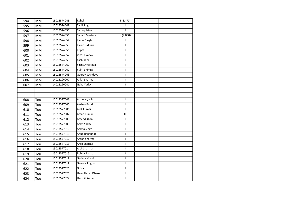| 594 | MM        | 15013574045 | Rahul               | 1(6.470)                   |  |
|-----|-----------|-------------|---------------------|----------------------------|--|
| 595 | <b>MM</b> | 15013574049 | Sahil Singh         | $\mathbf{I}$               |  |
| 596 | <b>MM</b> | 15013574050 | Samay Jaiwal        | Ш                          |  |
| 597 | <b>MM</b> | 15013574051 | Sanaul Mustafa      | 1(7.030)                   |  |
| 598 | <b>MM</b> | 15013574054 | Tanya Singh         | T                          |  |
| 599 | <b>MM</b> | 15013574055 | Tarun Bidhuri       | $\ensuremath{\mathsf{II}}$ |  |
| 600 | <b>MM</b> | 15013574056 | Tripta              | $\mathsf{L}$               |  |
| 601 | <b>MM</b> | 15013574057 | Vikash Yadav        | $\mathsf{I}$               |  |
| 602 | <b>MM</b> | 15013574059 | Yash Rana           | $\mathsf{I}$               |  |
| 603 | <b>MM</b> | 15013574060 | Yash Srivastava     | $\mathsf{I}$               |  |
| 604 | <b>MM</b> | 15013574062 | Yukti Bhimra        | T                          |  |
| 605 | <b>MM</b> | 15013574063 | Gaurav Sachdeva     | $\mathsf{I}$               |  |
| 606 | <b>MM</b> | 14013296007 | Ankit Sharma        | $\mathsf{I}$               |  |
| 607 | <b>MM</b> | 14013296041 | Neha Yadav          | $\ensuremath{\mathsf{H}}$  |  |
|     |           |             |                     |                            |  |
|     |           |             |                     |                            |  |
| 608 | Tou       | 15013577003 | Aishwarya Rai       | $\mathbf{I}$               |  |
| 609 | Tou       | 15013577005 | Akshay Pundir       | $\mathsf{I}$               |  |
| 610 | Tou       | 15013577006 | Alok Kumar          | $\mathbf{I}$               |  |
| 611 | Tou       | 15013577007 | Aman Kumar          | Ш                          |  |
| 612 | Tou       | 15013577008 | Ameed Khan          | T                          |  |
| 613 | Tou       | 15013577009 | Ankit Yadav         | $\mathbf{I}$               |  |
| 614 | Tou       | 15013577010 | Ankita Singh        | $\mathbf{I}$               |  |
| 615 | Tou       | 15013577011 | Anup Ranabhat       | $\mathbf{II}$              |  |
| 616 | Tou       | 15013577012 | Arpan Sharma        | $\mathbf{H}$               |  |
| 617 | Tou       | 15013577013 | Arpit Sharma        | $\mathsf{L}$               |  |
| 618 | Tou       | 15013577014 | Arsh Sharma         | $\mathsf{L}$               |  |
| 619 | Tou       | 15013577015 | <b>Bobby Basist</b> | $\ensuremath{\mathsf{H}}$  |  |
| 620 | Tou       | 15013577018 | Garima Maini        | Ш.                         |  |
| 621 | Tou       | 15013577019 | Gaurav Singhal      | $\mathbf{I}$               |  |
| 622 | Tou       | 15013577020 | Gulzar              | П                          |  |
| 623 | Tou       | 15013577021 | Hanu Harsh Oberoi   | T                          |  |
| 624 | Tou       | 15013577022 | Harshit Kumar       | $\mathbf{I}$               |  |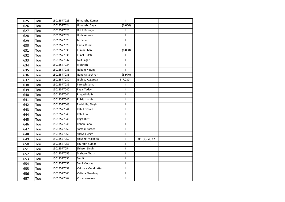| 625 | Tou | 15013577023 | Himanshu Kumar     | $\mathbf{I}$               |            |  |
|-----|-----|-------------|--------------------|----------------------------|------------|--|
| 626 | Tou | 15013577024 | Himanshu Sagar     | II(6.000)                  |            |  |
| 627 | Tou | 15013577026 | Hritik Kukreja     | L                          |            |  |
| 628 | Tou | 15013577027 | Huda Ameen         | Ш                          |            |  |
| 629 | Tou | 15013577028 | Jai Sanan          | $\ensuremath{\mathsf{II}}$ |            |  |
| 630 | Tou | 15013577029 | Kamal Kunal        | $\mathbf{II}$              |            |  |
| 631 | Tou | 15013577030 | <b>Kumar Shanu</b> | II (6.030)                 |            |  |
| 632 | Tou | 15013577031 | Kunal Gulati       | Ш                          |            |  |
| 633 | Tou | 15013577032 | Lalit Sagar        | $\mathbf{H}$               |            |  |
| 634 | Tou | 15013577034 | Mohnish            | $\ensuremath{\mathsf{II}}$ |            |  |
| 635 | Tou | 15013577035 | Nabam Ninung       | $\mathbf{II}$              |            |  |
| 636 | Tou | 15013577036 | Nandita Kochhar    | II (5.970)                 |            |  |
| 637 | Tou | 15013577037 | Nidhika Aggarwal   | 1(7.030)                   |            |  |
| 638 | Tou | 15013577039 | Parvesh Kumar      | T                          |            |  |
| 639 | Tou | 15013577040 | Payal Yadav        | L                          |            |  |
| 640 | Tou | 15013577041 | Pragati Malik      | $\mathbf{II}$              |            |  |
| 641 | Tou | 15013577042 | Pulkit Jhamb       | $\mathbf{I}$               |            |  |
| 642 | Tou | 15013577043 | Rachit Raj Singh   | $\mathbf{II}$              |            |  |
| 643 | Tou | 15013577044 | Rahul Gosain       | $\mathsf{I}$               |            |  |
| 644 | Tou | 15013577045 | Rahul Raj          | $\mathbf{I}$               |            |  |
| 645 | Tou | 15013577046 | Rajat Dutt         | $\mathsf{I}$               |            |  |
| 646 | Tou | 15013577048 | Rohan Rana         | $\mathbf{II}$              |            |  |
| 647 | Tou | 15013577050 | Sarthak Sareen     | $\mathbf{I}$               |            |  |
| 648 | Tou | 15013577051 | Shrivali Singh     | T                          |            |  |
| 649 | Tou | 15013577052 | Shivangi Malkotia  | $\mathbf{I}$               | 01.06.2022 |  |
| 650 | Tou | 15013577053 | Sourabh Kumar      | $\ensuremath{\mathsf{II}}$ |            |  |
| 651 | Tou | 15013577054 | Shivsen Singh      | $\ensuremath{\mathsf{II}}$ |            |  |
| 652 | Tou | 15013577055 | Srishtee Ahuja     | $\mathbf{H}$               |            |  |
| 653 | Tou | 15013577056 | Sumit              | $\mathbf H$                |            |  |
| 654 | Tou | 15013577057 | Sunil Mourya       | Ш                          |            |  |
| 655 | Tou | 15013577059 | Vaibhav Mendiratta | L                          |            |  |
| 656 | Tou | 15013577060 | Vidisha Bhardwaj   | Ш                          |            |  |
| 657 | Tou | 15013577062 | Vishal narayan     | L                          |            |  |